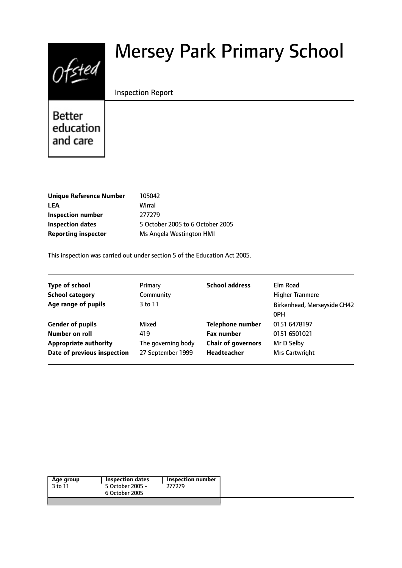# $0$ fsted

# Mersey Park Primary School

#### Inspection Report

Better education and care

| Unique Reference Number    | 105042                           |
|----------------------------|----------------------------------|
| LEA                        | Wirral                           |
| Inspection number          | 277279                           |
| Inspection dates           | 5 October 2005 to 6 October 2005 |
| <b>Reporting inspector</b> | Ms Angela Westington HMI         |
|                            |                                  |

This inspection was carried out under section 5 of the Education Act 2005.

| <b>Type of school</b>        | Primary            | <b>School address</b>     | Elm Road                           |
|------------------------------|--------------------|---------------------------|------------------------------------|
| <b>School category</b>       | Community          |                           | <b>Higher Tranmere</b>             |
| Age range of pupils          | 3 to 11            |                           | Birkenhead, Merseyside CH42<br>0PH |
| <b>Gender of pupils</b>      | Mixed              | <b>Telephone number</b>   | 0151 6478197                       |
| Number on roll               | 419                | <b>Fax number</b>         | 0151 6501021                       |
| <b>Appropriate authority</b> | The governing body | <b>Chair of governors</b> | Mr D Selby                         |
| Date of previous inspection  | 27 September 1999  | <b>Headteacher</b>        | Mrs Cartwright                     |
|                              |                    |                           |                                    |

|  | Age group<br>3 to 11 | <b>Inspection dates</b><br>5 October 2005 -<br>6 October 2005 | <b>Inspection number</b><br>277279 |
|--|----------------------|---------------------------------------------------------------|------------------------------------|
|--|----------------------|---------------------------------------------------------------|------------------------------------|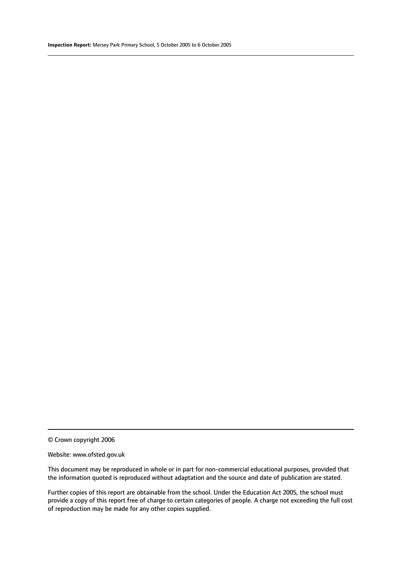© Crown copyright 2006

#### Website: www.ofsted.gov.uk

This document may be reproduced in whole or in part for non-commercial educational purposes, provided that the information quoted is reproduced without adaptation and the source and date of publication are stated.

Further copies of this report are obtainable from the school. Under the Education Act 2005, the school must provide a copy of this report free of charge to certain categories of people. A charge not exceeding the full cost of reproduction may be made for any other copies supplied.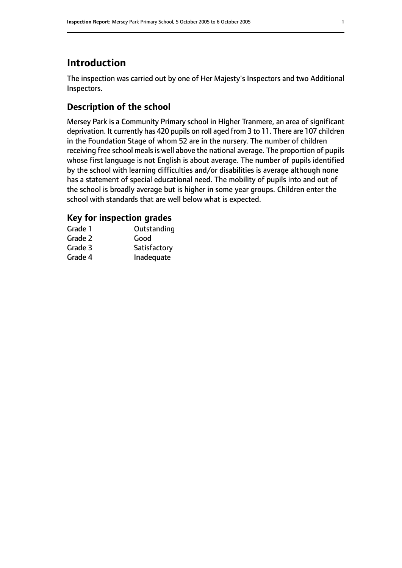# **Introduction**

The inspection was carried out by one of Her Majesty's Inspectors and two Additional Inspectors.

# **Description of the school**

Mersey Park is a Community Primary school in Higher Tranmere, an area of significant deprivation. It currently has 420 pupils on roll aged from 3 to 11. There are 107 children in the Foundation Stage of whom 52 are in the nursery. The number of children receiving free school meals is well above the national average. The proportion of pupils whose first language is not English is about average. The number of pupils identified by the school with learning difficulties and/or disabilities is average although none has a statement of special educational need. The mobility of pupils into and out of the school is broadly average but is higher in some year groups. Children enter the school with standards that are well below what is expected.

#### **Key for inspection grades**

| Grade 1 | Outstanding  |
|---------|--------------|
| Grade 2 | Good         |
| Grade 3 | Satisfactory |
| Grade 4 | Inadequate   |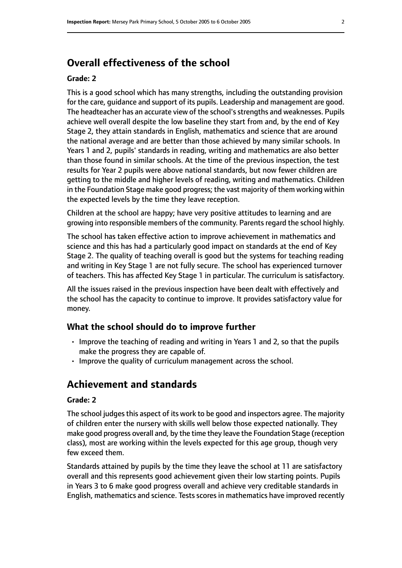# **Overall effectiveness of the school**

#### **Grade: 2**

This is a good school which has many strengths, including the outstanding provision for the care, guidance and support of its pupils. Leadership and management are good. The headteacher has an accurate view of the school's strengths and weaknesses. Pupils achieve well overall despite the low baseline they start from and, by the end of Key Stage 2, they attain standards in English, mathematics and science that are around the national average and are better than those achieved by many similar schools. In Years 1 and 2, pupils' standards in reading, writing and mathematics are also better than those found in similar schools. At the time of the previous inspection, the test results for Year 2 pupils were above national standards, but now fewer children are getting to the middle and higher levels of reading, writing and mathematics. Children in the Foundation Stage make good progress; the vast majority of them working within the expected levels by the time they leave reception.

Children at the school are happy; have very positive attitudes to learning and are growing into responsible members of the community. Parents regard the school highly.

The school has taken effective action to improve achievement in mathematics and science and this has had a particularly good impact on standards at the end of Key Stage 2. The quality of teaching overall is good but the systems for teaching reading and writing in Key Stage 1 are not fully secure. The school has experienced turnover of teachers. This has affected Key Stage 1 in particular. The curriculum is satisfactory.

All the issues raised in the previous inspection have been dealt with effectively and the school has the capacity to continue to improve. It provides satisfactory value for money.

#### **What the school should do to improve further**

- Improve the teaching of reading and writing in Years 1 and 2, so that the pupils make the progress they are capable of.
- Improve the quality of curriculum management across the school.

# **Achievement and standards**

#### **Grade: 2**

The school judges this aspect of its work to be good and inspectors agree. The majority of children enter the nursery with skills well below those expected nationally. They make good progress overall and, by the time they leave the Foundation Stage (reception class), most are working within the levels expected for this age group, though very few exceed them.

Standards attained by pupils by the time they leave the school at 11 are satisfactory overall and this represents good achievement given their low starting points. Pupils in Years 3 to 6 make good progress overall and achieve very creditable standards in English, mathematics and science. Tests scores in mathematics have improved recently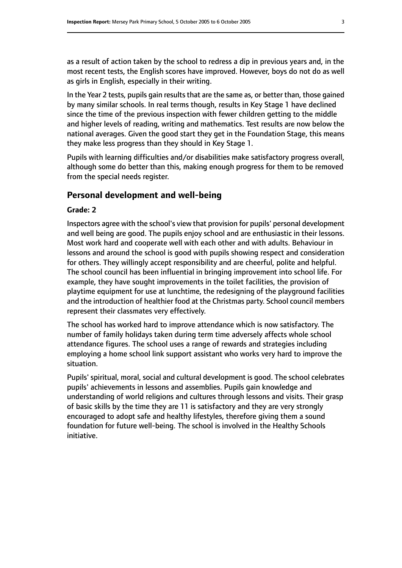as a result of action taken by the school to redress a dip in previous years and, in the most recent tests, the English scores have improved. However, boys do not do as well as girls in English, especially in their writing.

In the Year 2 tests, pupils gain results that are the same as, or better than, those gained by many similar schools. In real terms though, results in Key Stage 1 have declined since the time of the previous inspection with fewer children getting to the middle and higher levels of reading, writing and mathematics. Test results are now below the national averages. Given the good start they get in the Foundation Stage, this means they make less progress than they should in Key Stage 1.

Pupils with learning difficulties and/or disabilities make satisfactory progress overall, although some do better than this, making enough progress for them to be removed from the special needs register.

#### **Personal development and well-being**

#### **Grade: 2**

Inspectors agree with the school's view that provision for pupils' personal development and well being are good. The pupils enjoy school and are enthusiastic in their lessons. Most work hard and cooperate well with each other and with adults. Behaviour in lessons and around the school is good with pupils showing respect and consideration for others. They willingly accept responsibility and are cheerful, polite and helpful. The school council has been influential in bringing improvement into school life. For example, they have sought improvements in the toilet facilities, the provision of playtime equipment for use at lunchtime, the redesigning of the playground facilities and the introduction of healthier food at the Christmas party. School council members represent their classmates very effectively.

The school has worked hard to improve attendance which is now satisfactory. The number of family holidays taken during term time adversely affects whole school attendance figures. The school uses a range of rewards and strategies including employing a home school link support assistant who works very hard to improve the situation.

Pupils' spiritual, moral, social and cultural development is good. The school celebrates pupils' achievements in lessons and assemblies. Pupils gain knowledge and understanding of world religions and cultures through lessons and visits. Their grasp of basic skills by the time they are 11 is satisfactory and they are very strongly encouraged to adopt safe and healthy lifestyles, therefore giving them a sound foundation for future well-being. The school is involved in the Healthy Schools initiative.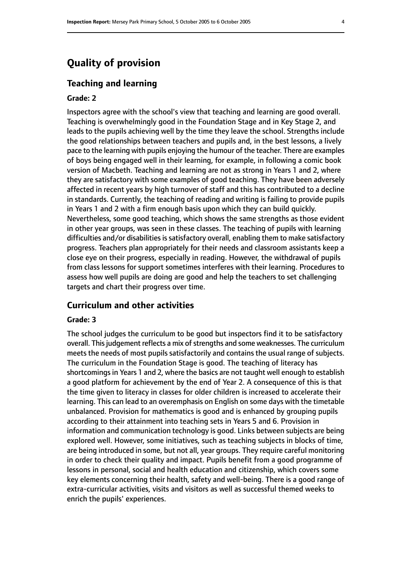# **Quality of provision**

#### **Teaching and learning**

#### **Grade: 2**

Inspectors agree with the school's view that teaching and learning are good overall. Teaching is overwhelmingly good in the Foundation Stage and in Key Stage 2, and leads to the pupils achieving well by the time they leave the school. Strengths include the good relationships between teachers and pupils and, in the best lessons, a lively pace to the learning with pupils enjoying the humour of the teacher. There are examples of boys being engaged well in their learning, for example, in following a comic book version of Macbeth. Teaching and learning are not as strong in Years 1 and 2, where they are satisfactory with some examples of good teaching. They have been adversely affected in recent years by high turnover of staff and this has contributed to a decline in standards. Currently, the teaching of reading and writing is failing to provide pupils in Years 1 and 2 with a firm enough basis upon which they can build quickly. Nevertheless, some good teaching, which shows the same strengths as those evident in other year groups, was seen in these classes. The teaching of pupils with learning difficulties and/or disabilities is satisfactory overall, enabling them to make satisfactory progress. Teachers plan appropriately for their needs and classroom assistants keep a close eye on their progress, especially in reading. However, the withdrawal of pupils from class lessons for support sometimes interferes with their learning. Procedures to assess how well pupils are doing are good and help the teachers to set challenging targets and chart their progress over time.

#### **Curriculum and other activities**

#### **Grade: 3**

The school judges the curriculum to be good but inspectors find it to be satisfactory overall. This judgement reflects a mix of strengths and some weaknesses. The curriculum meets the needs of most pupils satisfactorily and contains the usual range of subjects. The curriculum in the Foundation Stage is good. The teaching of literacy has shortcomings in Years 1 and 2, where the basics are not taught well enough to establish a good platform for achievement by the end of Year 2. A consequence of this is that the time given to literacy in classes for older children is increased to accelerate their learning. This can lead to an overemphasis on English on some days with the timetable unbalanced. Provision for mathematics is good and is enhanced by grouping pupils according to their attainment into teaching sets in Years 5 and 6. Provision in information and communication technology is good. Links between subjects are being explored well. However, some initiatives, such as teaching subjects in blocks of time, are being introduced in some, but not all, year groups. They require careful monitoring in order to check their quality and impact. Pupils benefit from a good programme of lessons in personal, social and health education and citizenship, which covers some key elements concerning their health, safety and well-being. There is a good range of extra-curricular activities, visits and visitors as well as successful themed weeks to enrich the pupils' experiences.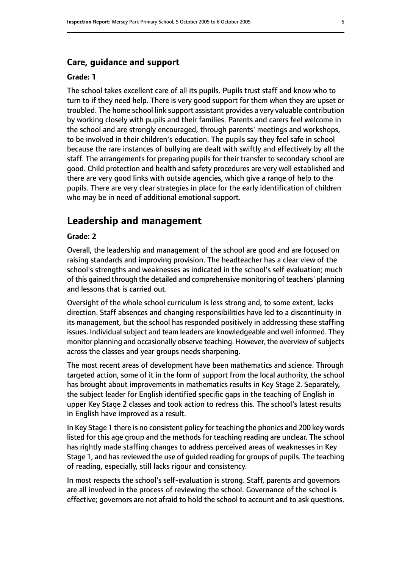#### **Care, guidance and support**

#### **Grade: 1**

The school takes excellent care of all its pupils. Pupils trust staff and know who to turn to if they need help. There is very good support for them when they are upset or troubled. The home school link support assistant provides a very valuable contribution by working closely with pupils and their families. Parents and carers feel welcome in the school and are strongly encouraged, through parents' meetings and workshops, to be involved in their children's education. The pupils say they feel safe in school because the rare instances of bullying are dealt with swiftly and effectively by all the staff. The arrangements for preparing pupils for their transfer to secondary school are good. Child protection and health and safety procedures are very well established and there are very good links with outside agencies, which give a range of help to the pupils. There are very clear strategies in place for the early identification of children who may be in need of additional emotional support.

## **Leadership and management**

#### **Grade: 2**

Overall, the leadership and management of the school are good and are focused on raising standards and improving provision. The headteacher has a clear view of the school's strengths and weaknesses as indicated in the school's self evaluation; much of this gained through the detailed and comprehensive monitoring of teachers' planning and lessons that is carried out.

Oversight of the whole school curriculum is less strong and, to some extent, lacks direction. Staff absences and changing responsibilities have led to a discontinuity in its management, but the school has responded positively in addressing these staffing issues. Individual subject and team leaders are knowledgeable and well informed. They monitor planning and occasionally observe teaching. However, the overview of subjects across the classes and year groups needs sharpening.

The most recent areas of development have been mathematics and science. Through targeted action, some of it in the form of support from the local authority, the school has brought about improvements in mathematics results in Key Stage 2. Separately, the subject leader for English identified specific gaps in the teaching of English in upper Key Stage 2 classes and took action to redress this. The school's latest results in English have improved as a result.

In Key Stage 1 there is no consistent policy for teaching the phonics and 200 key words listed for this age group and the methods for teaching reading are unclear. The school has rightly made staffing changes to address perceived areas of weaknesses in Key Stage 1, and has reviewed the use of quided reading for groups of pupils. The teaching of reading, especially, still lacks rigour and consistency.

In most respects the school's self-evaluation is strong. Staff, parents and governors are all involved in the process of reviewing the school. Governance of the school is effective; governors are not afraid to hold the school to account and to ask questions.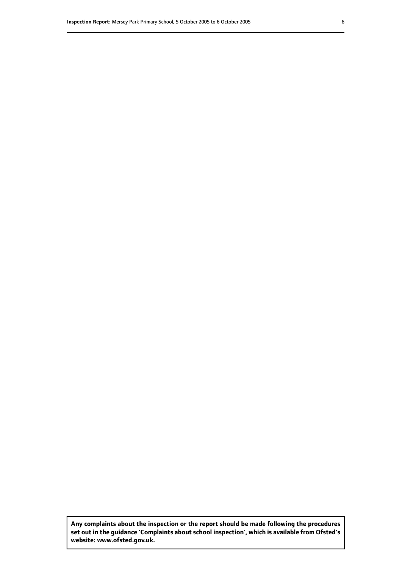**Any complaints about the inspection or the report should be made following the procedures set out inthe guidance 'Complaints about school inspection', whichis available from Ofsted's website: www.ofsted.gov.uk.**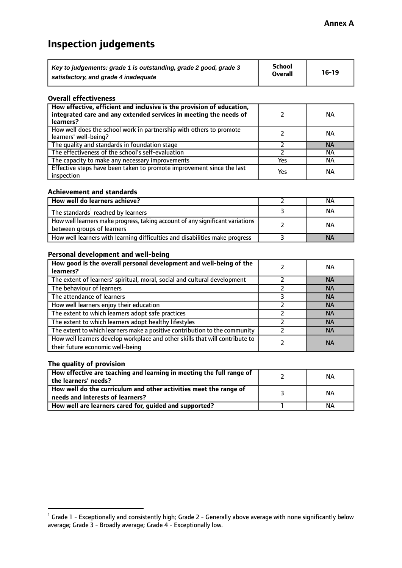# **Inspection judgements**

| Key to judgements: grade 1 is outstanding, grade 2 good, grade 3 | <b>School</b>  | $16-19$ |
|------------------------------------------------------------------|----------------|---------|
| satisfactory, and grade 4 inadequate                             | <b>Overall</b> |         |

#### **Overall effectiveness**

| How effective, efficient and inclusive is the provision of education,<br>integrated care and any extended services in meeting the needs of<br>learners? |     | <b>NA</b> |
|---------------------------------------------------------------------------------------------------------------------------------------------------------|-----|-----------|
| How well does the school work in partnership with others to promote<br>learners' well-being?                                                            |     | ΝA        |
| The quality and standards in foundation stage                                                                                                           |     | <b>NA</b> |
| The effectiveness of the school's self-evaluation                                                                                                       |     | ΝA        |
| The capacity to make any necessary improvements                                                                                                         | Yes | NА        |
| Effective steps have been taken to promote improvement since the last<br>inspection                                                                     | Yes | <b>NA</b> |

#### **Achievement and standards**

| How well do learners achieve?                                                                               | ΝA        |
|-------------------------------------------------------------------------------------------------------------|-----------|
| The standards <sup>1</sup> reached by learners                                                              | ΝA        |
| How well learners make progress, taking account of any significant variations<br>between groups of learners | <b>NA</b> |
| How well learners with learning difficulties and disabilities make progress                                 | <b>NA</b> |

#### **Personal development and well-being**

| How good is the overall personal development and well-being of the<br>learners?                                  | ΝA        |
|------------------------------------------------------------------------------------------------------------------|-----------|
| The extent of learners' spiritual, moral, social and cultural development                                        | <b>NA</b> |
| The behaviour of learners                                                                                        | <b>NA</b> |
| The attendance of learners                                                                                       | <b>NA</b> |
| How well learners enjoy their education                                                                          | <b>NA</b> |
| The extent to which learners adopt safe practices                                                                | <b>NA</b> |
| The extent to which learners adopt healthy lifestyles                                                            | <b>NA</b> |
| The extent to which learners make a positive contribution to the community                                       | <b>NA</b> |
| How well learners develop workplace and other skills that will contribute to<br>their future economic well-being | <b>NA</b> |

#### **The quality of provision**

| How effective are teaching and learning in meeting the full range of<br>the learners' needs?          | ΝA |
|-------------------------------------------------------------------------------------------------------|----|
| How well do the curriculum and other activities meet the range of<br>needs and interests of learners? | ΝA |
| How well are learners cared for, guided and supported?                                                | NА |

 $^1$  Grade 1 - Exceptionally and consistently high; Grade 2 - Generally above average with none significantly below average; Grade 3 - Broadly average; Grade 4 - Exceptionally low.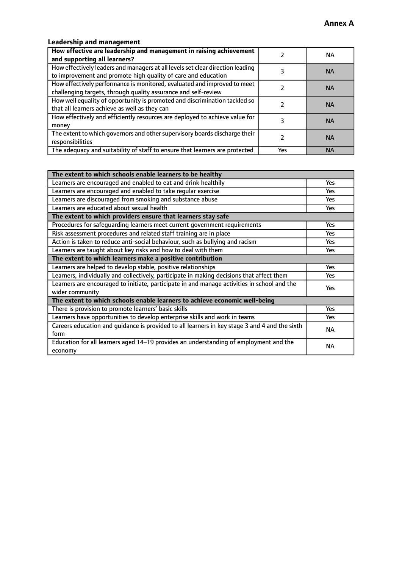## **Leadership and management**

| How effective are leadership and management in raising achievement<br>and supporting all learners?                                              |     | NA.       |
|-------------------------------------------------------------------------------------------------------------------------------------------------|-----|-----------|
| How effectively leaders and managers at all levels set clear direction leading<br>to improvement and promote high quality of care and education |     | <b>NA</b> |
| How effectively performance is monitored, evaluated and improved to meet<br>challenging targets, through quality assurance and self-review      |     | <b>NA</b> |
| How well equality of opportunity is promoted and discrimination tackled so<br>that all learners achieve as well as they can                     |     | <b>NA</b> |
| How effectively and efficiently resources are deployed to achieve value for<br>money                                                            |     | <b>NA</b> |
| The extent to which governors and other supervisory boards discharge their<br>responsibilities                                                  |     | <b>NA</b> |
| The adequacy and suitability of staff to ensure that learners are protected                                                                     | Yes | <b>NA</b> |

| The extent to which schools enable learners to be healthy                                     |            |  |
|-----------------------------------------------------------------------------------------------|------------|--|
| Learners are encouraged and enabled to eat and drink healthily                                | Yes        |  |
| Learners are encouraged and enabled to take regular exercise                                  | <b>Yes</b> |  |
| Learners are discouraged from smoking and substance abuse                                     | Yes        |  |
| Learners are educated about sexual health                                                     | Yes        |  |
| The extent to which providers ensure that learners stay safe                                  |            |  |
| Procedures for safequarding learners meet current government requirements                     | Yes        |  |
| Risk assessment procedures and related staff training are in place                            | Yes        |  |
| Action is taken to reduce anti-social behaviour, such as bullying and racism                  | <b>Yes</b> |  |
| Learners are taught about key risks and how to deal with them                                 | Yes        |  |
| The extent to which learners make a positive contribution                                     |            |  |
| Learners are helped to develop stable, positive relationships                                 | Yes        |  |
| Learners, individually and collectively, participate in making decisions that affect them     | Yes        |  |
| Learners are encouraged to initiate, participate in and manage activities in school and the   | <b>Yes</b> |  |
| wider community                                                                               |            |  |
| The extent to which schools enable learners to achieve economic well-being                    |            |  |
| There is provision to promote learners' basic skills                                          | Yes        |  |
| Learners have opportunities to develop enterprise skills and work in teams                    | Yes        |  |
| Careers education and quidance is provided to all learners in key stage 3 and 4 and the sixth | <b>NA</b>  |  |
| form                                                                                          |            |  |
| Education for all learners aged 14-19 provides an understanding of employment and the         | <b>NA</b>  |  |
| economy                                                                                       |            |  |